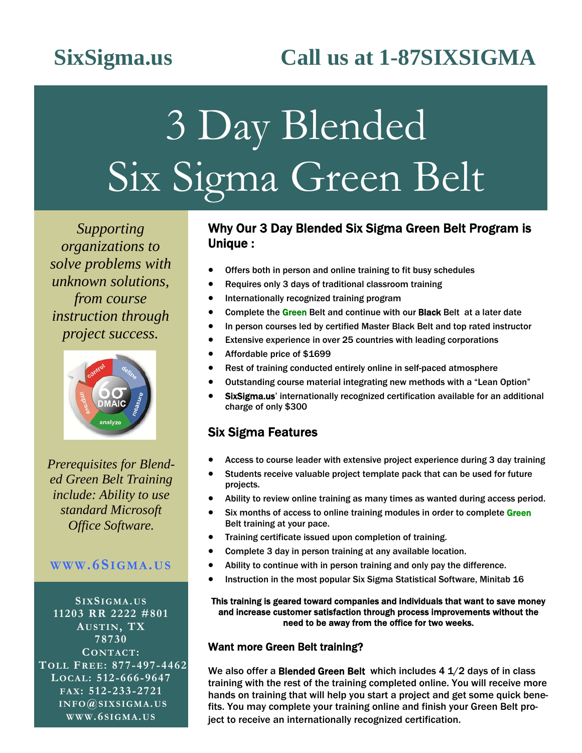## **SixSigma.us Call us at 1-87SIXSIGMA**

# 3 Day Blended Six Sigma Green Belt

*Supporting organizations to solve problems with unknown solutions, from course instruction through project success.* 



*Prerequisites for Blended Green Belt Training include: Ability to use standard Microsoft Office Software.* 

### **WWW.6SIGMA.US**

**SIXSIGMA.US 11203 RR 2222 #801 AUSTIN, TX 78730 CONTACT: TOLL FREE: 877-497-4462 LOCAL: 512-666-9647 FAX: 512-233-2721 INFO@SIXSIGMA.US WWW.6 SIGMA.US**

### Why Our 3 Day Blended Six Sigma Green Belt Program is Unique :

- Offers both in person and online training to fit busy schedules
- Requires only 3 days of traditional classroom training
- **•** Internationally recognized training program
- Complete the Green Belt and continue with our Black Belt at a later date
- In person courses led by certified Master Black Belt and top rated instructor
- Extensive experience in over 25 countries with leading corporations
- Affordable price of \$1699
- Rest of training conducted entirely online in self-paced atmosphere
- Outstanding course material integrating new methods with a "Lean Option"
- **SixSigma.us'** internationally recognized certification available for an additional charge of only \$300

### Six Sigma Features

- Access to course leader with extensive project experience during 3 day training
- Students receive valuable project template pack that can be used for future projects.
- Ability to review online training as many times as wanted during access period.
- Six months of access to online training modules in order to complete Green Belt training at your pace.
- Training certificate issued upon completion of training.
- Complete 3 day in person training at any available location.
- Ability to continue with in person training and only pay the difference.
- Instruction in the most popular Six Sigma Statistical Software, Minitab 16

### This training is geared toward companies and individuals that want to save money and increase customer satisfaction through process improvements without the need to be away from the office for two weeks.

### Want more Green Belt training?

We also offer a Blended Green Belt which includes 4 1/2 days of in class training with the rest of the training completed online. You will receive more hands on training that will help you start a project and get some quick benefits. You may complete your training online and finish your Green Belt project to receive an internationally recognized certification.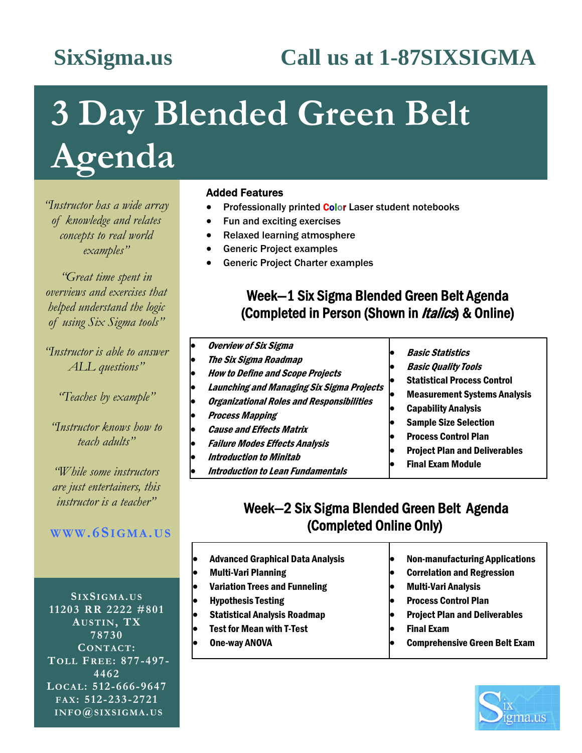## **SixSigma.us Call us at 1-87SIXSIGMA**

# **3 Day Blended Green Belt Agenda**

*"Instructor has a wide array of knowledge and relates concepts to real world examples"* 

*"Great time spent in overviews and exercises that helped understand the logic of using Six Sigma tools"* 

*"Instructor is able to answer ALL questions"* 

*"Teaches by example"* 

*"Instructor knows how to teach adults"* 

*"While some instructors are just entertainers, this instructor is a teacher"* 

### **WWW.6SIGMA.US**

**SIXSIGMA.US 11203 RR 2222 #801 AUSTIN, TX 78730 CONTACT: TOLL FREE: 877-497- 4462 LOCAL: 512-666-9647 FAX: 512-233-2721 INFO@SIXSIGMA.US** 

### Added Features

- Professionally printed Color Laser student notebooks
- Fun and exciting exercises
- Relaxed learning atmosphere
- Generic Project examples
- Generic Project Charter examples

### Week—1 Six Sigma Blended Green Belt Agenda (Completed in Person (Shown in *Italics*) & Online)

- Overview of Six Sigma The Six Sigma Roadmap How to Define and Scope Projects Launching and Managing Six Sigma Projects Organizational Roles and Responsibilities Process Mapping Cause and Effects Matrix Failure Modes Effects Analysis
	- Introduction to Minitab
	- Introduction to Lean Fundamentals
- Basic Statistics
- Basic Quality Tools
- Statistical Process Control
- Measurement Systems Analysis
- Capability Analysis
- Sample Size Selection
- Process Control Plan
- Project Plan and Deliverables
- Final Exam Module

### Week—2 Six Sigma Blended Green Belt Agenda (Completed Online Only)

- Advanced Graphical Data Analysis Multi-Vari Planning
- Variation Trees and Funneling
- Hypothesis Testing
- Statistical Analysis Roadmap
- Test for Mean with T-Test
- One-way ANOVA
- Non-manufacturing Applications Correlation and Regression Multi-Vari Analysis Process Control Plan Project Plan and Deliverables Final Exam
	- Comprehensive Green Belt Exam